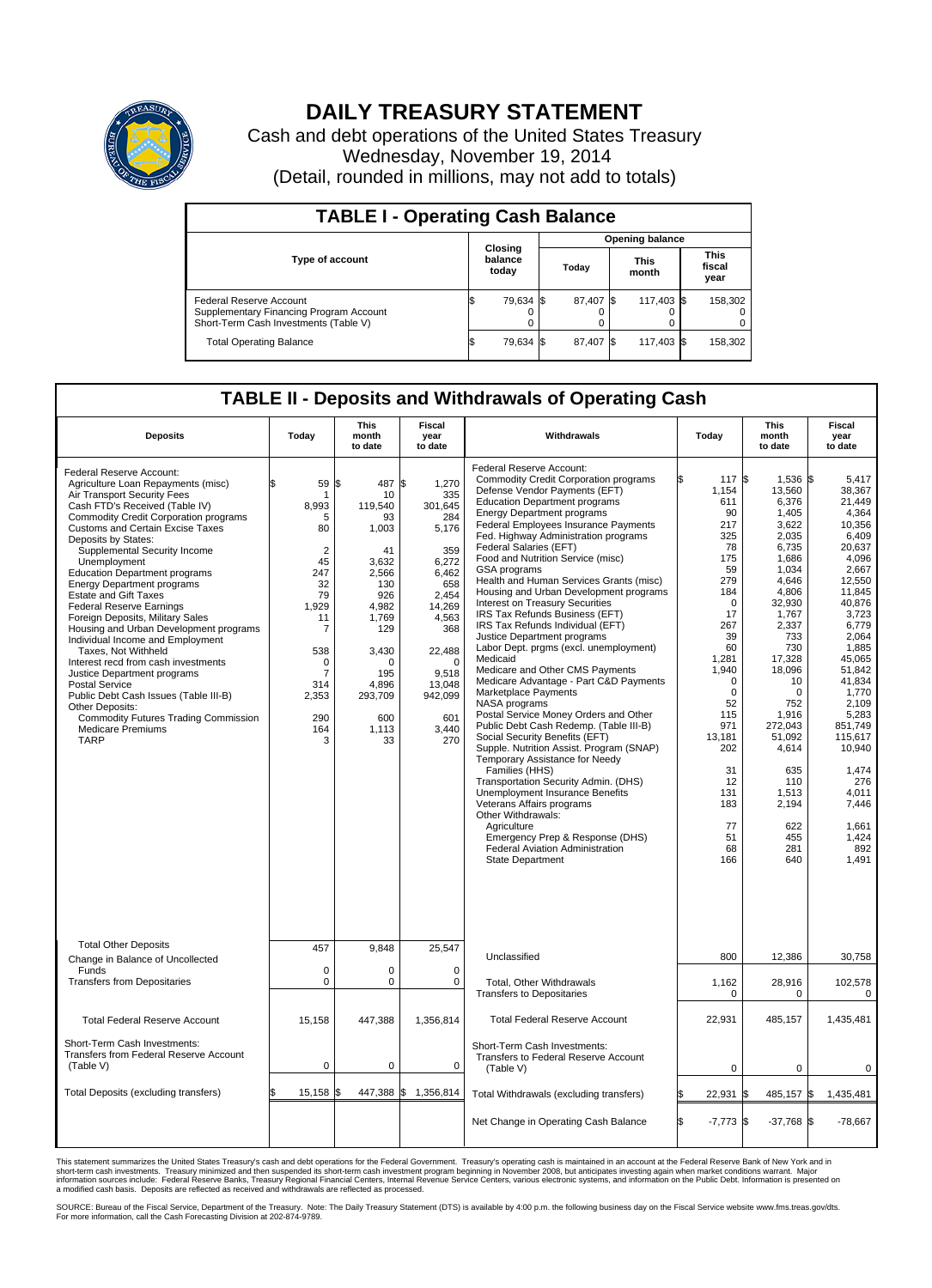

## **DAILY TREASURY STATEMENT**

Cash and debt operations of the United States Treasury Wednesday, November 19, 2014 (Detail, rounded in millions, may not add to totals)

| <b>TABLE I - Operating Cash Balance</b>                                                                     |                             |           |       |                        |                      |            |  |                               |  |  |
|-------------------------------------------------------------------------------------------------------------|-----------------------------|-----------|-------|------------------------|----------------------|------------|--|-------------------------------|--|--|
|                                                                                                             |                             |           |       | <b>Opening balance</b> |                      |            |  |                               |  |  |
| <b>Type of account</b>                                                                                      | Closing<br>balance<br>today |           | Today |                        | <b>This</b><br>month |            |  | <b>This</b><br>fiscal<br>year |  |  |
| Federal Reserve Account<br>Supplementary Financing Program Account<br>Short-Term Cash Investments (Table V) |                             | 79,634 \$ |       | 87,407 \$              |                      | 117,403 \$ |  | 158,302                       |  |  |
| <b>Total Operating Balance</b>                                                                              |                             | 79,634 \$ |       | 87,407 \$              |                      | 117,403 \$ |  | 158,302                       |  |  |

## **TABLE II - Deposits and Withdrawals of Operating Cash**

| <b>Deposits</b>                                                                                                                                                                                                                                                                                                                                                                                                                                                                                                                                                                                                                                                                                                                                                                                                                          | Today                                                                                                                                                                                    | <b>This</b><br>month<br>to date                                                                                                                                                | <b>Fiscal</b><br>year<br>to date                                                                                                                                                            | Withdrawals                                                                                                                                                                                                                                                                                                                                                                                                                                                                                                                                                                                                                                                                                                                                                                                                                                                                                                                                                                                                                                                                                                                                                                                                                       | Today                                                                                                                                                                                                                                                       | <b>This</b><br>month<br>to date                                                                                                                                                                                                                                                                  | Fiscal<br>year<br>to date                                                                                                                                                                                                                                                                                        |
|------------------------------------------------------------------------------------------------------------------------------------------------------------------------------------------------------------------------------------------------------------------------------------------------------------------------------------------------------------------------------------------------------------------------------------------------------------------------------------------------------------------------------------------------------------------------------------------------------------------------------------------------------------------------------------------------------------------------------------------------------------------------------------------------------------------------------------------|------------------------------------------------------------------------------------------------------------------------------------------------------------------------------------------|--------------------------------------------------------------------------------------------------------------------------------------------------------------------------------|---------------------------------------------------------------------------------------------------------------------------------------------------------------------------------------------|-----------------------------------------------------------------------------------------------------------------------------------------------------------------------------------------------------------------------------------------------------------------------------------------------------------------------------------------------------------------------------------------------------------------------------------------------------------------------------------------------------------------------------------------------------------------------------------------------------------------------------------------------------------------------------------------------------------------------------------------------------------------------------------------------------------------------------------------------------------------------------------------------------------------------------------------------------------------------------------------------------------------------------------------------------------------------------------------------------------------------------------------------------------------------------------------------------------------------------------|-------------------------------------------------------------------------------------------------------------------------------------------------------------------------------------------------------------------------------------------------------------|--------------------------------------------------------------------------------------------------------------------------------------------------------------------------------------------------------------------------------------------------------------------------------------------------|------------------------------------------------------------------------------------------------------------------------------------------------------------------------------------------------------------------------------------------------------------------------------------------------------------------|
| Federal Reserve Account:<br>Agriculture Loan Repayments (misc)<br>Air Transport Security Fees<br>Cash FTD's Received (Table IV)<br><b>Commodity Credit Corporation programs</b><br>Customs and Certain Excise Taxes<br>Deposits by States:<br>Supplemental Security Income<br>Unemployment<br><b>Education Department programs</b><br><b>Energy Department programs</b><br><b>Estate and Gift Taxes</b><br><b>Federal Reserve Earnings</b><br>Foreign Deposits, Military Sales<br>Housing and Urban Development programs<br>Individual Income and Employment<br>Taxes, Not Withheld<br>Interest recd from cash investments<br>Justice Department programs<br><b>Postal Service</b><br>Public Debt Cash Issues (Table III-B)<br>Other Deposits:<br><b>Commodity Futures Trading Commission</b><br><b>Medicare Premiums</b><br><b>TARP</b> | 59<br>\$<br>1<br>8,993<br>5<br>80<br>$\overline{2}$<br>45<br>247<br>32<br>79<br>1,929<br>11<br>$\overline{7}$<br>538<br>$\mathbf 0$<br>$\overline{7}$<br>314<br>2,353<br>290<br>164<br>3 | 487<br>\$<br>10<br>119,540<br>93<br>1,003<br>41<br>3,632<br>2,566<br>130<br>926<br>4,982<br>1,769<br>129<br>3,430<br>$\Omega$<br>195<br>4,896<br>293,709<br>600<br>1,113<br>33 | \$<br>1,270<br>335<br>301,645<br>284<br>5,176<br>359<br>6,272<br>6,462<br>658<br>2.454<br>14,269<br>4,563<br>368<br>22,488<br>$\Omega$<br>9,518<br>13,048<br>942,099<br>601<br>3,440<br>270 | Federal Reserve Account:<br><b>Commodity Credit Corporation programs</b><br>Defense Vendor Payments (EFT)<br><b>Education Department programs</b><br><b>Energy Department programs</b><br><b>Federal Employees Insurance Payments</b><br>Fed. Highway Administration programs<br>Federal Salaries (EFT)<br>Food and Nutrition Service (misc)<br>GSA programs<br>Health and Human Services Grants (misc)<br>Housing and Urban Development programs<br>Interest on Treasury Securities<br>IRS Tax Refunds Business (EFT)<br>IRS Tax Refunds Individual (EFT)<br>Justice Department programs<br>Labor Dept. prgms (excl. unemployment)<br>Medicaid<br>Medicare and Other CMS Payments<br>Medicare Advantage - Part C&D Payments<br>Marketplace Payments<br>NASA programs<br>Postal Service Money Orders and Other<br>Public Debt Cash Redemp. (Table III-B)<br>Social Security Benefits (EFT)<br>Supple. Nutrition Assist. Program (SNAP)<br>Temporary Assistance for Needy<br>Families (HHS)<br>Transportation Security Admin. (DHS)<br>Unemployment Insurance Benefits<br>Veterans Affairs programs<br>Other Withdrawals:<br>Agriculture<br>Emergency Prep & Response (DHS)<br>Federal Aviation Administration<br>State Department | 117 \$<br>1,154<br>611<br>90<br>217<br>325<br>78<br>175<br>59<br>279<br>184<br>$\mathbf 0$<br>17<br>267<br>39<br>60<br>1,281<br>1,940<br>$\mathbf 0$<br>$\mathbf 0$<br>52<br>115<br>971<br>13,181<br>202<br>31<br>12<br>131<br>183<br>77<br>51<br>68<br>166 | 1,536 \$<br>13,560<br>6,376<br>1,405<br>3.622<br>2,035<br>6,735<br>1,686<br>1.034<br>4,646<br>4,806<br>32,930<br>1,767<br>2,337<br>733<br>730<br>17,328<br>18,096<br>10<br>$\mathbf 0$<br>752<br>1,916<br>272,043<br>51,092<br>4,614<br>635<br>110<br>1,513<br>2,194<br>622<br>455<br>281<br>640 | 5.417<br>38,367<br>21.449<br>4,364<br>10.356<br>6,409<br>20,637<br>4,096<br>2.667<br>12,550<br>11,845<br>40,876<br>3,723<br>6,779<br>2,064<br>1,885<br>45,065<br>51,842<br>41.834<br>1,770<br>2.109<br>5,283<br>851,749<br>115,617<br>10,940<br>1,474<br>276<br>4.011<br>7,446<br>1.661<br>1,424<br>892<br>1,491 |
| <b>Total Other Deposits</b><br>Change in Balance of Uncollected                                                                                                                                                                                                                                                                                                                                                                                                                                                                                                                                                                                                                                                                                                                                                                          | 457                                                                                                                                                                                      | 9,848                                                                                                                                                                          | 25,547                                                                                                                                                                                      | Unclassified                                                                                                                                                                                                                                                                                                                                                                                                                                                                                                                                                                                                                                                                                                                                                                                                                                                                                                                                                                                                                                                                                                                                                                                                                      | 800                                                                                                                                                                                                                                                         | 12,386                                                                                                                                                                                                                                                                                           | 30,758                                                                                                                                                                                                                                                                                                           |
| Funds<br><b>Transfers from Depositaries</b>                                                                                                                                                                                                                                                                                                                                                                                                                                                                                                                                                                                                                                                                                                                                                                                              | $\mathbf 0$<br>$\mathbf 0$                                                                                                                                                               | 0<br>0                                                                                                                                                                         | $\mathbf 0$<br>$\mathbf 0$                                                                                                                                                                  | Total, Other Withdrawals<br><b>Transfers to Depositaries</b>                                                                                                                                                                                                                                                                                                                                                                                                                                                                                                                                                                                                                                                                                                                                                                                                                                                                                                                                                                                                                                                                                                                                                                      | 1,162<br>0                                                                                                                                                                                                                                                  | 28,916<br>0                                                                                                                                                                                                                                                                                      | 102,578<br>0                                                                                                                                                                                                                                                                                                     |
| <b>Total Federal Reserve Account</b>                                                                                                                                                                                                                                                                                                                                                                                                                                                                                                                                                                                                                                                                                                                                                                                                     | 15,158                                                                                                                                                                                   | 447,388                                                                                                                                                                        | 1,356,814                                                                                                                                                                                   | <b>Total Federal Reserve Account</b>                                                                                                                                                                                                                                                                                                                                                                                                                                                                                                                                                                                                                                                                                                                                                                                                                                                                                                                                                                                                                                                                                                                                                                                              | 22.931                                                                                                                                                                                                                                                      | 485.157                                                                                                                                                                                                                                                                                          | 1,435,481                                                                                                                                                                                                                                                                                                        |
| Short-Term Cash Investments:<br><b>Transfers from Federal Reserve Account</b><br>(Table V)                                                                                                                                                                                                                                                                                                                                                                                                                                                                                                                                                                                                                                                                                                                                               | $\pmb{0}$                                                                                                                                                                                | 0                                                                                                                                                                              | 0                                                                                                                                                                                           | Short-Term Cash Investments:<br>Transfers to Federal Reserve Account<br>(Table V)                                                                                                                                                                                                                                                                                                                                                                                                                                                                                                                                                                                                                                                                                                                                                                                                                                                                                                                                                                                                                                                                                                                                                 | 0                                                                                                                                                                                                                                                           | 0                                                                                                                                                                                                                                                                                                | 0                                                                                                                                                                                                                                                                                                                |
| Total Deposits (excluding transfers)                                                                                                                                                                                                                                                                                                                                                                                                                                                                                                                                                                                                                                                                                                                                                                                                     | 15,158<br>\$                                                                                                                                                                             | ß.                                                                                                                                                                             | 447,388 \$1,356,814                                                                                                                                                                         | Total Withdrawals (excluding transfers)                                                                                                                                                                                                                                                                                                                                                                                                                                                                                                                                                                                                                                                                                                                                                                                                                                                                                                                                                                                                                                                                                                                                                                                           | 22,931                                                                                                                                                                                                                                                      | 485,157 \$<br>1\$                                                                                                                                                                                                                                                                                | 1,435,481                                                                                                                                                                                                                                                                                                        |
|                                                                                                                                                                                                                                                                                                                                                                                                                                                                                                                                                                                                                                                                                                                                                                                                                                          |                                                                                                                                                                                          |                                                                                                                                                                                |                                                                                                                                                                                             | Net Change in Operating Cash Balance                                                                                                                                                                                                                                                                                                                                                                                                                                                                                                                                                                                                                                                                                                                                                                                                                                                                                                                                                                                                                                                                                                                                                                                              | Ŝ.<br>$-7,773$ \$                                                                                                                                                                                                                                           | $-37,768$ \$                                                                                                                                                                                                                                                                                     | $-78,667$                                                                                                                                                                                                                                                                                                        |

This statement summarizes the United States Treasury's cash and debt operations for the Federal Government. Treasury's operating cash is maintained in an account at the Federal Reserve Bank of New York and in<br>short-term ca

SOURCE: Bureau of the Fiscal Service, Department of the Treasury. Note: The Daily Treasury Statement (DTS) is available by 4:00 p.m. the following business day on the Fiscal Service website www.fms.treas.gov/dts.<br>For more